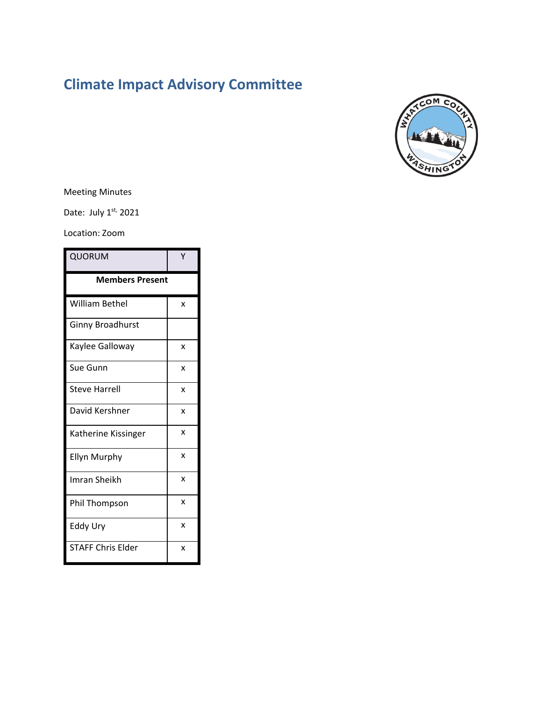# **Climate Impact Advisory Committee**



# Meeting Minutes

Date: July 1st, 2021

#### Location: Zoom

| QUORUM                   |              |
|--------------------------|--------------|
| <b>Members Present</b>   |              |
| William Bethel           | x            |
| Ginny Broadhurst         |              |
| Kaylee Galloway          | x            |
| Sue Gunn                 | X            |
| <b>Steve Harrell</b>     | x            |
| David Kershner           | X            |
| Katherine Kissinger      | $\mathsf{x}$ |
| Ellyn Murphy             | x            |
| Imran Sheikh             | $\mathsf{x}$ |
| <b>Phil Thompson</b>     | X            |
| <b>Eddy Ury</b>          | $\mathsf{x}$ |
| <b>STAFF Chris Elder</b> | x            |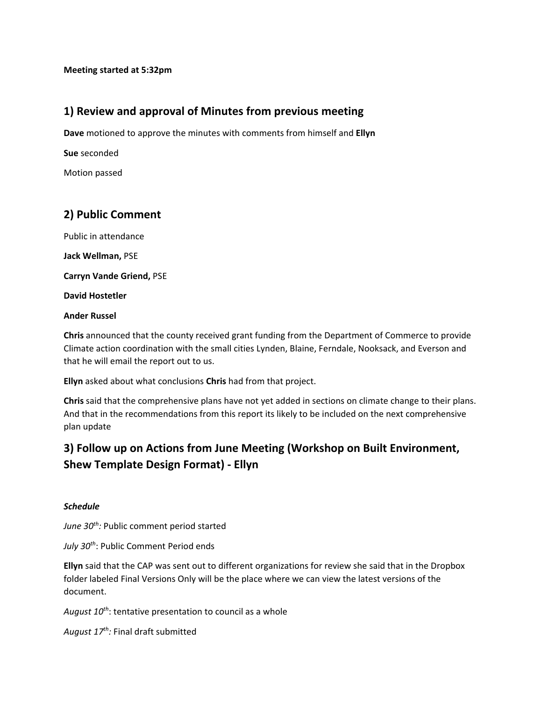# **1) Review and approval of Minutes from previous meeting**

**Dave** motioned to approve the minutes with comments from himself and **Ellyn**

**Sue** seconded

Motion passed

# **2) Public Comment**

Public in attendance

**Jack Wellman,** PSE

**Carryn Vande Griend,** PSE

**David Hostetler**

#### **Ander Russel**

**Chris** announced that the county received grant funding from the Department of Commerce to provide Climate action coordination with the small cities Lynden, Blaine, Ferndale, Nooksack, and Everson and that he will email the report out to us.

**Ellyn** asked about what conclusions **Chris** had from that project.

**Chris** said that the comprehensive plans have not yet added in sections on climate change to their plans. And that in the recommendations from this report its likely to be included on the next comprehensive plan update

# **3) Follow up on Actions from June Meeting (Workshop on Built Environment, Shew Template Design Format) - Ellyn**

#### *Schedule*

June 30<sup>th</sup>: Public comment period started

*July 30th*: Public Comment Period ends

**Ellyn** said that the CAP was sent out to different organizations for review she said that in the Dropbox folder labeled Final Versions Only will be the place where we can view the latest versions of the document.

August 10<sup>th</sup>: tentative presentation to council as a whole

*August 17th:* Final draft submitted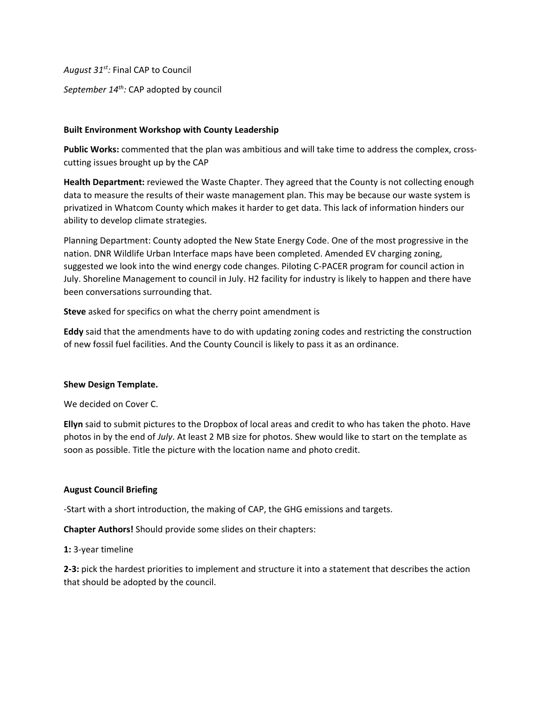*August 31st:* Final CAP to Council

*September 14th:* CAP adopted by council

#### **Built Environment Workshop with County Leadership**

**Public Works:** commented that the plan was ambitious and will take time to address the complex, crosscutting issues brought up by the CAP

**Health Department:** reviewed the Waste Chapter. They agreed that the County is not collecting enough data to measure the results of their waste management plan. This may be because our waste system is privatized in Whatcom County which makes it harder to get data. This lack of information hinders our ability to develop climate strategies.

Planning Department: County adopted the New State Energy Code. One of the most progressive in the nation. DNR Wildlife Urban Interface maps have been completed. Amended EV charging zoning, suggested we look into the wind energy code changes. Piloting C-PACER program for council action in July. Shoreline Management to council in July. H2 facility for industry is likely to happen and there have been conversations surrounding that.

**Steve** asked for specifics on what the cherry point amendment is

**Eddy** said that the amendments have to do with updating zoning codes and restricting the construction of new fossil fuel facilities. And the County Council is likely to pass it as an ordinance.

#### **Shew Design Template.**

We decided on Cover C.

**Ellyn** said to submit pictures to the Dropbox of local areas and credit to who has taken the photo. Have photos in by the end of *July*. At least 2 MB size for photos. Shew would like to start on the template as soon as possible. Title the picture with the location name and photo credit.

#### **August Council Briefing**

-Start with a short introduction, the making of CAP, the GHG emissions and targets.

**Chapter Authors!** Should provide some slides on their chapters:

**1:** 3-year timeline

**2-3:** pick the hardest priorities to implement and structure it into a statement that describes the action that should be adopted by the council.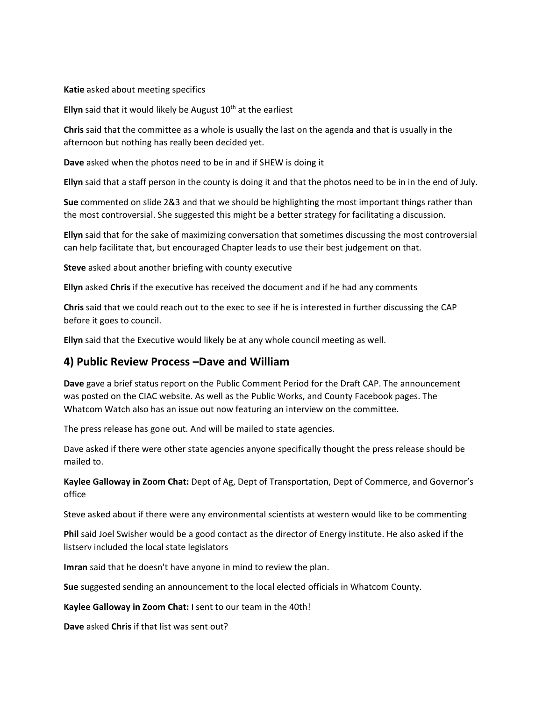#### **Katie** asked about meeting specifics

**Ellyn** said that it would likely be August  $10<sup>th</sup>$  at the earliest

**Chris** said that the committee as a whole is usually the last on the agenda and that is usually in the afternoon but nothing has really been decided yet.

**Dave** asked when the photos need to be in and if SHEW is doing it

**Ellyn** said that a staff person in the county is doing it and that the photos need to be in in the end of July.

**Sue** commented on slide 2&3 and that we should be highlighting the most important things rather than the most controversial. She suggested this might be a better strategy for facilitating a discussion.

**Ellyn** said that for the sake of maximizing conversation that sometimes discussing the most controversial can help facilitate that, but encouraged Chapter leads to use their best judgement on that.

**Steve** asked about another briefing with county executive

**Ellyn** asked **Chris** if the executive has received the document and if he had any comments

**Chris** said that we could reach out to the exec to see if he is interested in further discussing the CAP before it goes to council.

**Ellyn** said that the Executive would likely be at any whole council meeting as well.

#### **4) Public Review Process –Dave and William**

**Dave** gave a brief status report on the Public Comment Period for the Draft CAP. The announcement was posted on the CIAC website. As well as the Public Works, and County Facebook pages. The Whatcom Watch also has an issue out now featuring an interview on the committee.

The press release has gone out. And will be mailed to state agencies.

Dave asked if there were other state agencies anyone specifically thought the press release should be mailed to.

**Kaylee Galloway in Zoom Chat:** Dept of Ag, Dept of Transportation, Dept of Commerce, and Governor's office

Steve asked about if there were any environmental scientists at western would like to be commenting

**Phil** said Joel Swisher would be a good contact as the director of Energy institute. He also asked if the listserv included the local state legislators

**Imran** said that he doesn't have anyone in mind to review the plan.

**Sue** suggested sending an announcement to the local elected officials in Whatcom County.

**Kaylee Galloway in Zoom Chat:** I sent to our team in the 40th!

**Dave** asked **Chris** if that list was sent out?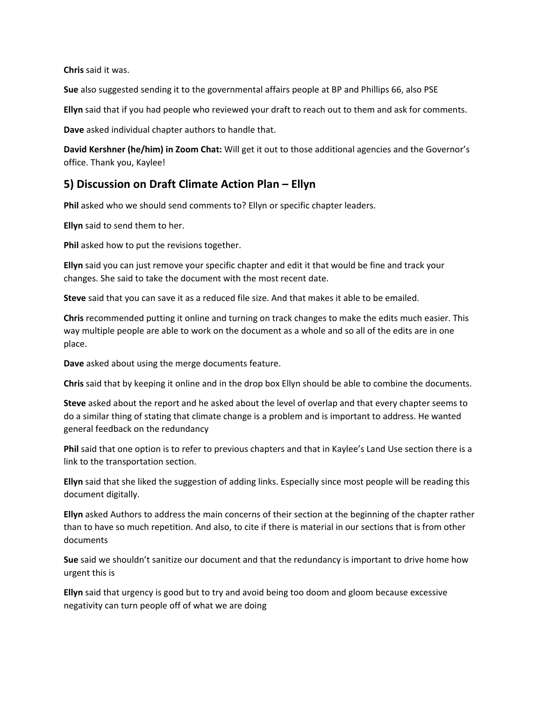**Chris** said it was.

**Sue** also suggested sending it to the governmental affairs people at BP and Phillips 66, also PSE

**Ellyn** said that if you had people who reviewed your draft to reach out to them and ask for comments.

**Dave** asked individual chapter authors to handle that.

**David Kershner (he/him) in Zoom Chat:** Will get it out to those additional agencies and the Governor's office. Thank you, Kaylee!

## **5) Discussion on Draft Climate Action Plan – Ellyn**

**Phil** asked who we should send comments to? Ellyn or specific chapter leaders.

**Ellyn** said to send them to her.

**Phil** asked how to put the revisions together.

**Ellyn** said you can just remove your specific chapter and edit it that would be fine and track your changes. She said to take the document with the most recent date.

**Steve** said that you can save it as a reduced file size. And that makes it able to be emailed.

**Chris** recommended putting it online and turning on track changes to make the edits much easier. This way multiple people are able to work on the document as a whole and so all of the edits are in one place.

**Dave** asked about using the merge documents feature.

**Chris** said that by keeping it online and in the drop box Ellyn should be able to combine the documents.

**Steve** asked about the report and he asked about the level of overlap and that every chapter seems to do a similar thing of stating that climate change is a problem and is important to address. He wanted general feedback on the redundancy

**Phil** said that one option is to refer to previous chapters and that in Kaylee's Land Use section there is a link to the transportation section.

**Ellyn** said that she liked the suggestion of adding links. Especially since most people will be reading this document digitally.

**Ellyn** asked Authors to address the main concerns of their section at the beginning of the chapter rather than to have so much repetition. And also, to cite if there is material in our sections that is from other documents

**Sue** said we shouldn't sanitize our document and that the redundancy is important to drive home how urgent this is

**Ellyn** said that urgency is good but to try and avoid being too doom and gloom because excessive negativity can turn people off of what we are doing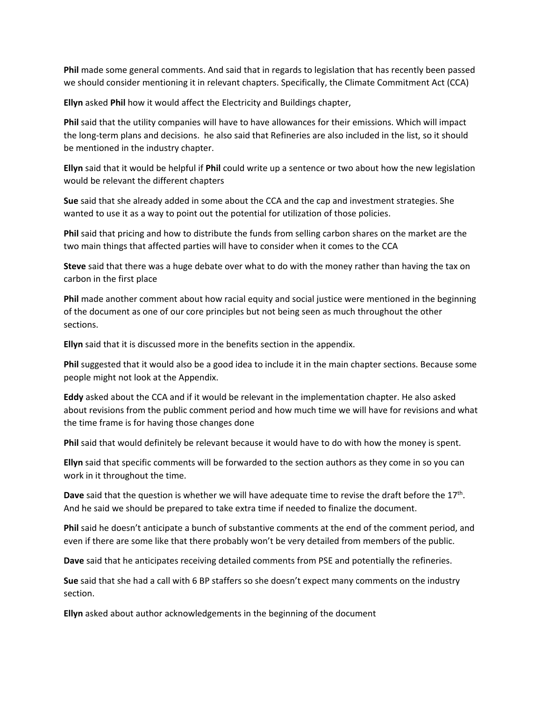**Phil** made some general comments. And said that in regards to legislation that has recently been passed we should consider mentioning it in relevant chapters. Specifically, the Climate Commitment Act (CCA)

**Ellyn** asked **Phil** how it would affect the Electricity and Buildings chapter,

**Phil** said that the utility companies will have to have allowances for their emissions. Which will impact the long-term plans and decisions. he also said that Refineries are also included in the list, so it should be mentioned in the industry chapter.

**Ellyn** said that it would be helpful if **Phil** could write up a sentence or two about how the new legislation would be relevant the different chapters

**Sue** said that she already added in some about the CCA and the cap and investment strategies. She wanted to use it as a way to point out the potential for utilization of those policies.

**Phil** said that pricing and how to distribute the funds from selling carbon shares on the market are the two main things that affected parties will have to consider when it comes to the CCA

**Steve** said that there was a huge debate over what to do with the money rather than having the tax on carbon in the first place

**Phil** made another comment about how racial equity and social justice were mentioned in the beginning of the document as one of our core principles but not being seen as much throughout the other sections.

**Ellyn** said that it is discussed more in the benefits section in the appendix.

**Phil** suggested that it would also be a good idea to include it in the main chapter sections. Because some people might not look at the Appendix.

**Eddy** asked about the CCA and if it would be relevant in the implementation chapter. He also asked about revisions from the public comment period and how much time we will have for revisions and what the time frame is for having those changes done

**Phil** said that would definitely be relevant because it would have to do with how the money is spent.

**Ellyn** said that specific comments will be forwarded to the section authors as they come in so you can work in it throughout the time.

**Dave** said that the question is whether we will have adequate time to revise the draft before the 17th. And he said we should be prepared to take extra time if needed to finalize the document.

**Phil** said he doesn't anticipate a bunch of substantive comments at the end of the comment period, and even if there are some like that there probably won't be very detailed from members of the public.

**Dave** said that he anticipates receiving detailed comments from PSE and potentially the refineries.

**Sue** said that she had a call with 6 BP staffers so she doesn't expect many comments on the industry section.

**Ellyn** asked about author acknowledgements in the beginning of the document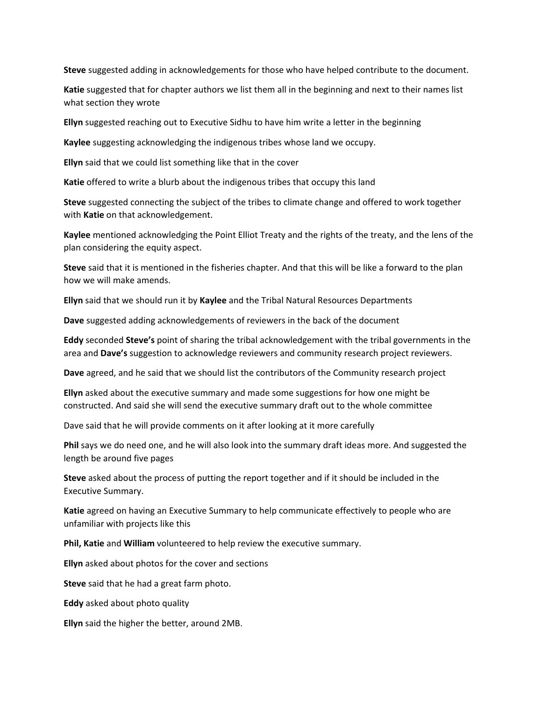**Steve** suggested adding in acknowledgements for those who have helped contribute to the document.

**Katie** suggested that for chapter authors we list them all in the beginning and next to their names list what section they wrote

**Ellyn** suggested reaching out to Executive Sidhu to have him write a letter in the beginning

**Kaylee** suggesting acknowledging the indigenous tribes whose land we occupy.

**Ellyn** said that we could list something like that in the cover

**Katie** offered to write a blurb about the indigenous tribes that occupy this land

**Steve** suggested connecting the subject of the tribes to climate change and offered to work together with **Katie** on that acknowledgement.

**Kaylee** mentioned acknowledging the Point Elliot Treaty and the rights of the treaty, and the lens of the plan considering the equity aspect.

**Steve** said that it is mentioned in the fisheries chapter. And that this will be like a forward to the plan how we will make amends.

**Ellyn** said that we should run it by **Kaylee** and the Tribal Natural Resources Departments

**Dave** suggested adding acknowledgements of reviewers in the back of the document

**Eddy** seconded **Steve's** point of sharing the tribal acknowledgement with the tribal governments in the area and **Dave's** suggestion to acknowledge reviewers and community research project reviewers.

**Dave** agreed, and he said that we should list the contributors of the Community research project

**Ellyn** asked about the executive summary and made some suggestions for how one might be constructed. And said she will send the executive summary draft out to the whole committee

Dave said that he will provide comments on it after looking at it more carefully

**Phil** says we do need one, and he will also look into the summary draft ideas more. And suggested the length be around five pages

**Steve** asked about the process of putting the report together and if it should be included in the Executive Summary.

**Katie** agreed on having an Executive Summary to help communicate effectively to people who are unfamiliar with projects like this

**Phil, Katie** and **William** volunteered to help review the executive summary.

**Ellyn** asked about photos for the cover and sections

**Steve** said that he had a great farm photo.

**Eddy** asked about photo quality

**Ellyn** said the higher the better, around 2MB.